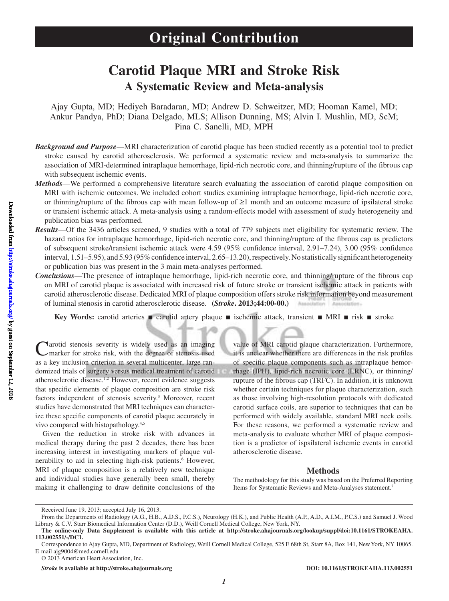# **Carotid Plaque MRI and Stroke Risk A Systematic Review and Meta-analysis**

Ajay Gupta, MD; Hediyeh Baradaran, MD; Andrew D. Schweitzer, MD; Hooman Kamel, MD; Ankur Pandya, PhD; Diana Delgado, MLS; Allison Dunning, MS; Alvin I. Mushlin, MD, ScM; Pina C. Sanelli, MD, MPH

- *Background and Purpose*—MRI characterization of carotid plaque has been studied recently as a potential tool to predict stroke caused by carotid atherosclerosis. We performed a systematic review and meta-analysis to summarize the association of MRI-determined intraplaque hemorrhage, lipid-rich necrotic core, and thinning/rupture of the fibrous cap with subsequent ischemic events.
- *Methods*—We performed a comprehensive literature search evaluating the association of carotid plaque composition on MRI with ischemic outcomes. We included cohort studies examining intraplaque hemorrhage, lipid-rich necrotic core, or thinning/rupture of the fibrous cap with mean follow-up of ≥1 month and an outcome measure of ipsilateral stroke or transient ischemic attack. A meta-analysis using a random-effects model with assessment of study heterogeneity and publication bias was performed.
- *Results*—Of the 3436 articles screened, 9 studies with a total of 779 subjects met eligibility for systematic review. The hazard ratios for intraplaque hemorrhage, lipid-rich necrotic core, and thinning/rupture of the fibrous cap as predictors of subsequent stroke/transient ischemic attack were 4.59 (95% confidence interval, 2.91–7.24), 3.00 (95% confidence interval, 1.51–5.95), and 5.93 (95% confidence interval, 2.65–13.20), respectively. No statistically significant heterogeneity or publication bias was present in the 3 main meta-analyses performed.
- *Conclusions*—The presence of intraplaque hemorrhage, lipid-rich necrotic core, and thinning/rupture of the fibrous cap on MRI of carotid plaque is associated with increased risk of future stroke or transient ischemic attack in patients with carotid atherosclerotic disease. Dedicated MRI of plaque composition offers stroke risk information beyond measurement of luminal stenosis in carotid atherosclerotic disease. **(***Stroke***. 2013;44:00-00.)** Association

**Key Words:** carotid arteries ■ carotid artery plaque ■ ischemic attack, transient ■ MRI ■ risk ■ stroke

Carotid stenosis severity is widely used as an imaging marker for stroke risk, with the degree of stenosis used as a key inclusion criterion in several multicenter, large randomized trials of surgery versus medical treatment of carotid atherosclerotic disease.1,2 However, recent evidence suggests that specific elements of plaque composition are stroke risk factors independent of stenosis severity.3 Moreover, recent studies have demonstrated that MRI techniques can characterize these specific components of carotid plaque accurately in vivo compared with histopathology.4,5

Given the reduction in stroke risk with advances in medical therapy during the past 2 decades, there has been increasing interest in investigating markers of plaque vulnerability to aid in selecting high-risk patients.<sup>6</sup> However, MRI of plaque composition is a relatively new technique and individual studies have generally been small, thereby making it challenging to draw definite conclusions of the

value of MRI carotid plaque characterization. Furthermore, it is unclear whether there are differences in the risk profiles of specific plaque components such as intraplaque hemorrhage (IPH), lipid-rich necrotic core (LRNC), or thinning/ rupture of the fibrous cap (TRFC). In addition, it is unknown whether certain techniques for plaque characterization, such as those involving high-resolution protocols with dedicated carotid surface coils, are superior to techniques that can be performed with widely available, standard MRI neck coils. For these reasons, we performed a systematic review and meta-analysis to evaluate whether MRI of plaque composition is a predictor of ispsilateral ischemic events in carotid atherosclerotic disease.

### **Methods**

The methodology for this study was based on the Preferred Reporting Items for Systematic Reviews and Meta-Analyses statement.7

Received June 19, 2013; accepted July 16, 2013.

From the Departments of Radiology (A.G., H.B., A.D.S., P.C.S.), Neurology (H.K.), and Public Health (A.P., A.D., A.I.M., P.C.S.) and Samuel J. Wood Library & C.V. Starr Biomedical Information Center (D.D.), Weill Cornell Medical College, New York, NY.

**The online-only Data Supplement is available with this article at [http://stroke.ahajournals.org/lookup/suppl/doi:10.1161/STROKEAHA.](http://stroke.ahajournals.org/lookup/suppl/doi:10.1161/STROKEAHA.113.002551/-/DC1) [113.002551/-/DC1.](http://stroke.ahajournals.org/lookup/suppl/doi:10.1161/STROKEAHA.113.002551/-/DC1)**

Correspondence to Ajay Gupta, MD, Department of Radiology, Weill Cornell Medical College, 525 E 68th St, Starr 8A, Box 141, New York, NY 10065. E-mail [ajg9004@med.cornell.edu](mailto:ajg9004@med.cornell.edu)

<sup>© 2013</sup> American Heart Association, Inc.

*Stroke* **is available at http://stroke.ahajournals.org DOI: 10.1161/STROKEAHA.113.002551**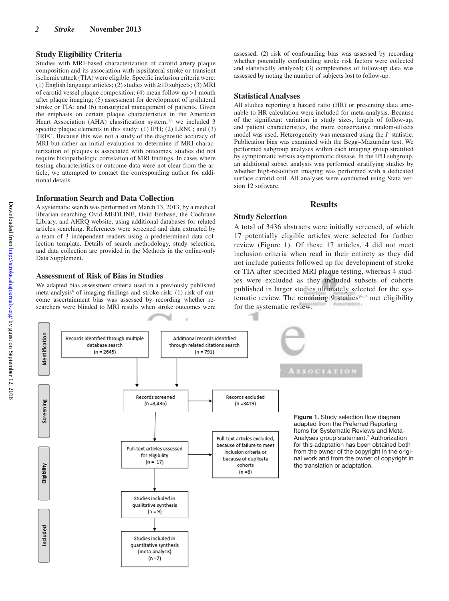## **Study Eligibility Criteria**

Studies with MRI-based characterization of carotid artery plaque composition and its association with ispsilateral stroke or transient ischemic attack (TIA) were eligible. Specific inclusion criteria were: (1) English language articles; (2) studies with ≥10 subjects; (3) MRI of carotid vessel plaque composition; (4) mean follow-up >1 month after plaque imaging; (5) assessment for development of ipsilateral stroke or TIA; and (6) nonsurgical management of patients. Given the emphasis on certain plaque characteristics in the American Heart Association (AHA) classification system, $3,4$  we included 3 specific plaque elements in this study: (1) IPH; (2) LRNC; and (3) TRFC. Because this was not a study of the diagnostic accuracy of MRI but rather an initial evaluation to determine if MRI characterization of plaques is associated with outcomes, studies did not require histopathologic correlation of MRI findings. In cases where testing characteristics or outcome data were not clear from the article, we attempted to contact the corresponding author for additional details.

### **Information Search and Data Collection**

A systematic search was performed on March 13, 2013, by a medical librarian searching Ovid MEDLINE, Ovid Embase, the Cochrane Library, and AHRQ website, using additional databases for related articles searching. References were screened and data extracted by a team of 3 independent readers using a predetermined data collection template. Details of search methodology, study selection, and data collection are provided in the Methods in the online-only Data Supplement.

### **Assessment of Risk of Bias in Studies**

We adapted bias assessment criteria used in a previously published meta-analysis<sup>8</sup> of imaging findings and stroke risk: (1) risk of outcome ascertainment bias was assessed by recording whether researchers were blinded to MRI results when stroke outcomes were

assessed; (2) risk of confounding bias was assessed by recording whether potentially confounding stroke risk factors were collected and statistically analyzed; (3) completeness of follow-up data was assessed by noting the number of subjects lost to follow-up.

#### **Statistical Analyses**

All studies reporting a hazard ratio (HR) or presenting data amenable to HR calculation were included for meta-analysis. Because of the significant variation in study sizes, length of follow-up, and patient characteristics, the more conservative random-effects model was used. Heterogeneity was measured using the  $I<sup>2</sup>$  statistic. Publication bias was examined with the Begg–Mazumdar test. We performed subgroup analyses within each imaging group stratified by symptomatic versus asymptomatic disease. In the IPH subgroup, an additional subset analysis was performed stratifying studies by whether high-resolution imaging was performed with a dedicated surface carotid coil. All analyses were conducted using Stata version 12 software.

# **Results**

### **Study Selection**

A total of 3436 abstracts were initially screened, of which 17 potentially eligible articles were selected for further review (Figure 1). Of these 17 articles, 4 did not meet inclusion criteria when read in their entirety as they did not include patients followed up for development of stroke or TIA after specified MRI plaque testing, whereas 4 studies were excluded as they included subsets of cohorts published in larger studies ultimately selected for the systematic review. The remaining 9 studies $9-17$  met eligibility for the systematic review.

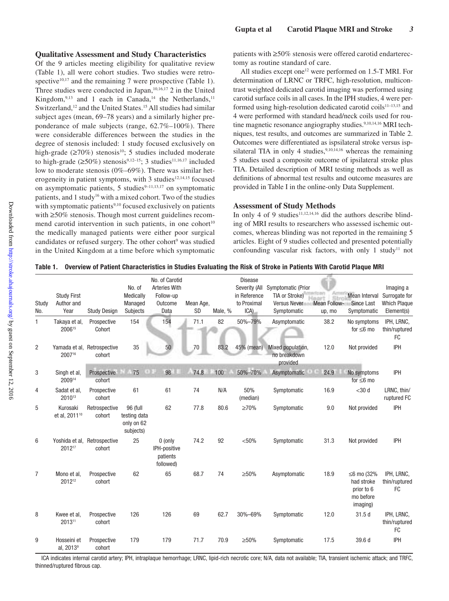## **Qualitative Assessment and Study Characteristics**

Of the 9 articles meeting eligibility for qualitative review (Table 1), all were cohort studies. Two studies were retrospective<sup>10,17</sup> and the remaining 7 were prospective (Table 1). Three studies were conducted in Japan, $10,16,17$  2 in the United Kingdom,<sup>9,13</sup> and 1 each in Canada,<sup>14</sup> the Netherlands,<sup>11</sup> Switzerland,<sup>12</sup> and the United States.<sup>15</sup> All studies had similar subject ages (mean, 69–78 years) and a similarly higher preponderance of male subjects (range, 62.7%–100%). There were considerable differences between the studies in the degree of stenosis included: 1 study focused exclusively on high-grade ( $\geq 70\%$ ) stenosis<sup>10</sup>; 5 studies included moderate to high-grade ( $\geq 50\%$ ) stenosis<sup>9,12-15</sup>; 3 studies<sup>11,16,17</sup> included low to moderate stenosis (0%–69%). There was similar heterogeneity in patient symptoms, with 3 studies<sup>12,14,15</sup> focused on asymptomatic patients,  $5 \times 10^{9-11,13,17}$  on symptomatic patients, and 1 study<sup>16</sup> with a mixed cohort. Two of the studies with symptomatic patients<sup>9,10</sup> focused exclusively on patients with ≥50% stenosis. Though most current guidelines recommend carotid intervention in such patients, in one cohort $10$ the medically managed patients were either poor surgical candidates or refused surgery. The other cohort<sup>9</sup> was studied in the United Kingdom at a time before which symptomatic

patients with ≥50% stenosis were offered carotid endarterectomy as routine standard of care.

All studies except one<sup>12</sup> were performed on 1.5-T MRI. For determination of LRNC or TRFC, high-resolution, multicontrast weighted dedicated carotid imaging was performed using carotid surface coils in all cases. In the IPH studies, 4 were performed using high-resolution dedicated carotid coils<sup>11-13,15</sup> and 4 were performed with standard head/neck coils used for routine magnetic resonance angiography studies.<sup>9,10,14,16</sup> MRI techniques, test results, and outcomes are summarized in Table 2. Outcomes were differentiated as ispsilateral stroke versus ispsilateral TIA in only 4 studies,  $9,10,14,16$  whereas the remaining 5 studies used a composite outcome of ipsilateral stroke plus TIA. Detailed description of MRI testing methods as well as definitions of abnormal test results and outcome measures are provided in Table I in the online-only Data Supplement.

### **Assessment of Study Methods**

In only 4 of 9 studies<sup>11,12,14,16</sup> did the authors describe blinding of MRI results to researchers who assessed ischemic outcomes, whereas blinding was not reported in the remaining 5 articles. Eight of 9 studies collected and presented potentially confounding vascular risk factors, with only 1 study<sup>11</sup> not

| Study<br>No.   | <b>Study First</b><br>Author and<br>Year | <b>Study Design</b>                   | No. of<br>Medically<br>Managed<br>Subjects          | No. of Carotid<br><b>Arteries With</b><br>Follow-up<br>Outcome<br>Data | Mean Age,<br>SD | Male, % | <b>Disease</b><br>Severity (All<br>in Reference<br>to Proximal<br>ICA) | Symptomatic (Prior<br>TIA or Stroke)<br><b>Versus Never</b><br>Symptomatic | <b>Mean Follow-</b><br>up, mo | Mean Interval<br>Since Last<br>Symptomatic                      | Imaging a<br>Surrogate for<br><b>Which Plaque</b><br>Element(s) |
|----------------|------------------------------------------|---------------------------------------|-----------------------------------------------------|------------------------------------------------------------------------|-----------------|---------|------------------------------------------------------------------------|----------------------------------------------------------------------------|-------------------------------|-----------------------------------------------------------------|-----------------------------------------------------------------|
| 1              | Takaya et al,<br>200615                  | Prospective<br>Cohort                 | 154                                                 | 154                                                                    | 71.1            | 82      | 50%-79%                                                                | Asymptomatic                                                               | 38.2                          | No symptoms<br>for $\leq 6$ mo                                  | IPH, LRNC,<br>thin/ruptured<br>FC                               |
| $\overline{2}$ | 200716                                   | Yamada et al, Retrospective<br>cohort | 35                                                  | 50                                                                     | 70              | 83.2    | 45% (mean)                                                             | Mixed population,<br>no breakdown<br>provided                              | 12.0                          | Not provided                                                    | IPH                                                             |
| 3              | Singh et al.<br>200914                   | Prospective<br>cohort                 | 75                                                  | 98                                                                     | 74.8            | 100     | 50%-70%                                                                | Asymptomatic                                                               | 24.9                          | No symptoms<br>for $\leq 6$ mo                                  | IPH                                                             |
| 4              | Sadat et al.<br>201013                   | Prospective<br>cohort                 | 61                                                  | 61                                                                     | 74              | N/A     | 50%<br>(median)                                                        | Symptomatic                                                                | 16.9                          | $<$ 30 $d$                                                      | LRNC, thin/<br>ruptured FC                                      |
| 5              | Kurosaki<br>et al, 2011 <sup>10</sup>    | Retrospective<br>cohort               | 96 (full<br>testing data<br>only on 62<br>subjects) | 62                                                                     | 77.8            | 80.6    | $\geq 70\%$                                                            | Symptomatic                                                                | 9.0                           | Not provided                                                    | IPH                                                             |
| 6              | Yoshida et al.<br>201217                 | Retrospective<br>cohort               | 25                                                  | $0$ (only<br>IPH-positive<br>patients<br>followed)                     | 74.2            | 92      | < 50%                                                                  | Symptomatic                                                                | 31.3                          | Not provided                                                    | IPH                                                             |
| $\overline{7}$ | Mono et al.<br>201212                    | Prospective<br>cohort                 | 62                                                  | 65                                                                     | 68.7            | 74      | $>50\%$                                                                | Asymptomatic                                                               | 18.9                          | ≤6 mo (32%<br>had stroke<br>prior to 6<br>mo before<br>imaging) | IPH, LRNC,<br>thin/ruptured<br><b>FC</b>                        |
| 8              | Kwee et al.<br>201311                    | Prospective<br>cohort                 | 126                                                 | 126                                                                    | 69              | 62.7    | 30%-69%                                                                | Symptomatic                                                                | 12.0                          | 31.5 d                                                          | IPH, LRNC,<br>thin/ruptured<br>FC                               |
| 9              | Hosseini et<br>al, 2013 <sup>9</sup>     | Prospective<br>cohort                 | 179                                                 | 179                                                                    | 71.7            | 70.9    | $>50\%$                                                                | Symptomatic                                                                | 17.5                          | 39.6 d                                                          | IPH                                                             |

ICA indicates internal carotid artery; IPH, intraplaque hemorrhage; LRNC, lipid-rich necrotic core; N/A, data not available; TIA, transient ischemic attack; and TRFC, thinned/ruptured fibrous cap.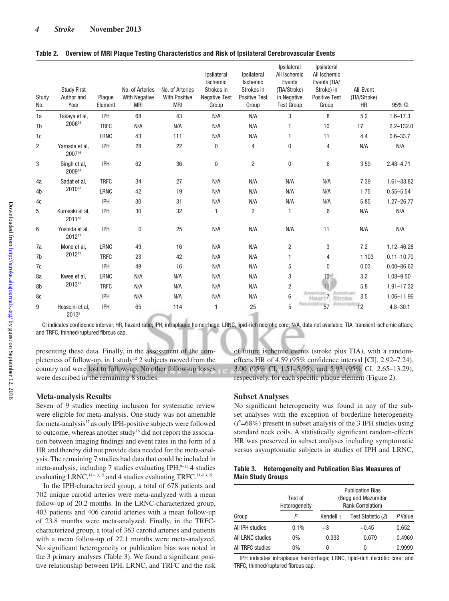| Study<br>No.   | <b>Study First</b><br>Author and<br>Year | Plaque<br>Element | No. of Arteries<br><b>With Negative</b><br><b>MRI</b> | No. of Arteries<br>With Positive<br><b>MRI</b> | Ipsilateral<br>Ischemic<br>Strokes in<br><b>Negative Test</b><br>Group | Ipsilateral<br>Ischemic<br>Strokes in<br><b>Positive Test</b><br>Group | Ipsilateral<br>All Ischemic<br>Events<br>(TIA/Stroke)<br>in Negative<br><b>Test Group</b> | Ipsilateral<br>All Ischemic<br>Events (TIA/<br>Stroke) in<br><b>Positive Test</b><br>Group | All-Event<br>(TIA/Stroke)<br><b>HR</b> | 95% CI         |
|----------------|------------------------------------------|-------------------|-------------------------------------------------------|------------------------------------------------|------------------------------------------------------------------------|------------------------------------------------------------------------|-------------------------------------------------------------------------------------------|--------------------------------------------------------------------------------------------|----------------------------------------|----------------|
| 1a             | Takaya et al,                            | IPH               | 68                                                    | 43                                             | N/A                                                                    | N/A                                                                    | 3                                                                                         | 8                                                                                          | 5.2                                    | $1.6 - 17.3$   |
| 1 <sub>b</sub> | 200615                                   | <b>TRFC</b>       | N/A                                                   | N/A                                            | N/A                                                                    | N/A                                                                    | 1                                                                                         | 10                                                                                         | 17                                     | $2.2 - 132.0$  |
| 1c             |                                          | <b>LRNC</b>       | 43                                                    | 111                                            | N/A                                                                    | N/A                                                                    | $\mathbf{1}$                                                                              | 11                                                                                         | 4.4                                    | $0.6 - 33.7$   |
| $\overline{2}$ | Yamada et al,<br>200716                  | IPH               | 28                                                    | 22                                             | $\mathbf 0$                                                            | 4                                                                      | $\mathbf 0$                                                                               | $\overline{4}$                                                                             | N/A                                    | N/A            |
| 3              | Singh et al,<br>200914                   | IPH               | 62                                                    | 36                                             | $\mathbf 0$                                                            | $\overline{2}$                                                         | $\mathbf 0$                                                                               | $6\phantom{1}$                                                                             | 3.59                                   | $2.48 - 4.71$  |
| 4a             | Sadat et al,                             | <b>TRFC</b>       | 34                                                    | 27                                             | N/A                                                                    | N/A                                                                    | N/A                                                                                       | N/A                                                                                        | 7.39                                   | $1.61 - 33.82$ |
| 4b             | $2010^{13}$                              | <b>LRNC</b>       | 42                                                    | 19                                             | N/A                                                                    | N/A                                                                    | N/A                                                                                       | N/A                                                                                        | 1.75                                   | $0.55 - 5.54$  |
| 4c             |                                          | IPH               | 30                                                    | 31                                             | N/A                                                                    | N/A                                                                    | N/A                                                                                       | N/A                                                                                        | 5.85                                   | $1.27 - 26.77$ |
| 5              | Kurosaki et al,<br>201110                | IPH               | 30                                                    | 32                                             | $\mathbf{1}$                                                           | $\overline{2}$                                                         | $\mathbf{1}$                                                                              | 6                                                                                          | N/A                                    | N/A            |
| 6              | Yoshida et al.<br>201217                 | IPH               | $\mathbf{0}$                                          | 25                                             | N/A                                                                    | N/A                                                                    | N/A                                                                                       | 11                                                                                         | N/A                                    | N/A            |
| 7a             | Mono et al,                              | <b>LRNC</b>       | 49                                                    | 16                                             | N/A                                                                    | N/A                                                                    | 2                                                                                         | 3                                                                                          | 7.2                                    | $1.12 - 46.28$ |
| 7b             | 201212                                   | <b>TRFC</b>       | 23                                                    | 42                                             | N/A                                                                    | N/A                                                                    | $\mathbf{1}$                                                                              | 4                                                                                          | 1.103                                  | $0.11 - 10.70$ |
| 7c             |                                          | IPH               | 49                                                    | 16                                             | N/A                                                                    | N/A                                                                    | 5                                                                                         | 0                                                                                          | 0.03                                   | $0.00 - 86.62$ |
| 8a             | Kwee et al.                              | <b>LRNC</b>       | N/A                                                   | N/A                                            | N/A                                                                    | N/A                                                                    | 3                                                                                         | 10                                                                                         | 3.2                                    | $1.08 - 9.50$  |
| 8b             | 201311                                   | <b>TRFC</b>       | N/A                                                   | N/A                                            | N/A                                                                    | N/A                                                                    | 2                                                                                         | 11                                                                                         | 5.8                                    | $1.91 - 17.32$ |
| 8c             |                                          | IPH               | N/A                                                   | N/A                                            | N/A                                                                    | N/A                                                                    | 6                                                                                         | $H = 7$                                                                                    | 3.5                                    | 1.06-11.96     |
| 9              | Hosseini et al.<br>2013 <sup>9</sup>     | IPH               | 65                                                    | 114                                            | $\mathbf{1}$                                                           | 25<br>$-65$                                                            | 5                                                                                         | 57                                                                                         | 12                                     | $4.8 - 30.1$   |

**Table 2. Overview of MRI Plaque Testing Characteristics and Risk of Ipsilateral Cerebrovascular Events**

CI indicates confidence interval; HR, hazard ratio; IPH, intraplaque hemorrhage; LRNC, lipid-rich necrotic core; N/A, data not available; TIA, transient ischemic attack; and TRFC, thinned/ruptured fibrous cap.

presenting these data. Finally, in the assessment of the completeness of follow-up, in 1 study<sup>12</sup> 2 subjects moved from the country and were lost to follow-up. No other follow-up losses were described in the remaining 8 studies.

### **Meta-analysis Results**

Seven of 9 studies meeting inclusion for systematic review were eligible for meta-analysis. One study was not amenable for meta-analysis<sup>17</sup> as only IPH-positive subjects were followed to outcome, whereas another study<sup>16</sup> did not report the association between imaging findings and event rates in the form of a HR and thereby did not provide data needed for the meta-analysis. The remaining 7 studies had data that could be included in meta-analysis, including 7 studies evaluating IPH, 9-15 4 studies evaluating LRNC,<sup>11–13,15</sup> and 4 studies evaluating TRFC.<sup>11–13,15</sup>

In the IPH-characterized group, a total of 678 patients and 702 unique carotid arteries were meta-analyzed with a mean follow-up of 20.2 months. In the LRNC-characterized group, 403 patients and 406 carotid arteries with a mean follow-up of 23.8 months were meta-analyzed. Finally, in the TRFCcharacterized group, a total of 363 carotid arteries and patients with a mean follow-up of 22.1 months were meta-analyzed. No significant heterogeneity or publication bias was noted in the 3 primary analyses (Table 3). We found a significant positive relationship between IPH, LRNC, and TRFC and the risk of future ischemic events (stroke plus TIA), with a randomeffects HR of 4.59 (95% confidence interval [CI], 2.92–7.24), 3.00 (95% CI, 1.51–5.95), and 5.93 (95% CI, 2.65–13.29), respectively, for each specific plaque element (Figure 2).

### **Subset Analyses**

No significant heterogeneity was found in any of the subset analyses with the exception of borderline heterogeneity  $(I<sup>2</sup>=68%)$  present in subset analysis of the 3 IPH studies using standard neck coils. A statistically significant random-effects HR was preserved in subset analyses including symptomatic versus asymptomatic subjects in studies of IPH and LRNC,

|                          | Table 3. Heterogeneity and Publication Bias Measures of |  |  |  |
|--------------------------|---------------------------------------------------------|--|--|--|
| <b>Main Study Groups</b> |                                                         |  |  |  |

|                  | Test of<br>Heterogeneity | <b>Publication Bias</b><br>(Begg and Mazumdar<br><b>Rank Correlation)</b> |                    |        |
|------------------|--------------------------|---------------------------------------------------------------------------|--------------------|--------|
| Group            | $1^2$                    | Kendell $\tau$                                                            | Test Statistic (Z) | PValue |
| All IPH studies  | 0.1%                     | -3                                                                        | $-0.45$            | 0.652  |
| All LRNC studies | $0\%$                    | 0.333                                                                     | 0.679              | 0.4969 |
| All TRFC studies | $0\%$                    | 0                                                                         | 0                  | 0.9999 |

IPH indicates intraplaque hemorrhage; LRNC, lipid-rich necrotic core; and TRFC, thinned/ruptured fibrous cap.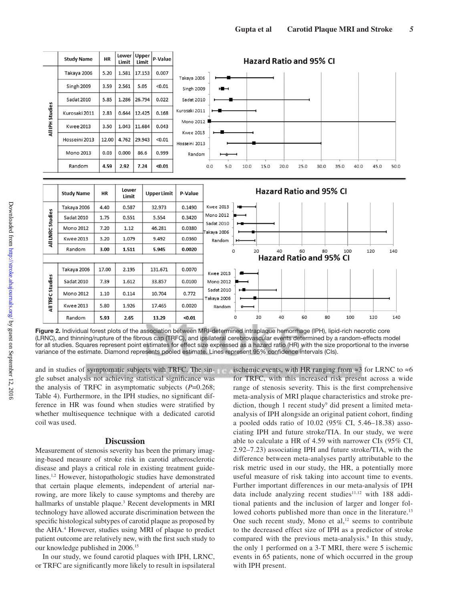



**Figure 2.** Individual forest plots of the association between MRI-determined intraplaque hemorrhage (IPH), lipid-rich necrotic core (LRNC), and thinning/rupture of the fibrous cap (TRFC), and ipsilateral cerebrovascular events determined by a random-effects model for all studies. Squares represent point estimates for effect size expressed as a hazard ratio (HR) with the size proportional to the inverse variance of the estimate. Diamond represents pooled estimate. Lines represent 95% confidence intervals (CIs).

and in studies of symptomatic subjects with TRFC. The single subset analysis not achieving statistical significance was the analysis of TRFC in asymptomatic subjects (*P*=0.268; Table 4). Furthermore, in the IPH studies, no significant difference in HR was found when studies were stratified by whether multisequence technique with a dedicated carotid coil was used.

## **Discussion**

Measurement of stenosis severity has been the primary imaging-based measure of stroke risk in carotid atherosclerotic disease and plays a critical role in existing treatment guidelines.1,2 However, histopathologic studies have demonstrated that certain plaque elements, independent of arterial narrowing, are more likely to cause symptoms and thereby are hallmarks of unstable plaque.<sup>3</sup> Recent developments in MRI technology have allowed accurate discrimination between the specific histological subtypes of carotid plaque as proposed by the AHA.<sup>4</sup> However, studies using MRI of plaque to predict patient outcome are relatively new, with the first such study to our knowledge published in 2006.15

In our study, we found carotid plaques with IPH, LRNC, or TRFC are significantly more likely to result in ispsilateral ischemic events, with HR ranging from ≈3 for LRNC to ≈6 for TRFC, with this increased risk present across a wide range of stenosis severity. This is the first comprehensive meta-analysis of MRI plaque characteristics and stroke prediction, though 1 recent study<sup>9</sup> did present a limited metaanalysis of IPH alongside an original patient cohort, finding a pooled odds ratio of 10.02 (95% CI, 5.46–18.38) associating IPH and future stroke/TIA. In our study, we were able to calculate a HR of 4.59 with narrower CIs (95% CI, 2.92–7.23) associating IPH and future stroke/TIA, with the difference between meta-analyses partly attributable to the risk metric used in our study, the HR, a potentially more useful measure of risk taking into account time to events. Further important differences in our meta-analysis of IPH data include analyzing recent studies $11,12$  with 188 additional patients and the inclusion of larger and longer followed cohorts published more than once in the literature.<sup>13</sup> One such recent study, Mono et al, $12$  seems to contribute to the decreased effect size of IPH as a predictor of stroke compared with the previous meta-analysis.<sup>9</sup> In this study, the only 1 performed on a 3-T MRI, there were 5 ischemic events in 65 patients, none of which occurred in the group with IPH present.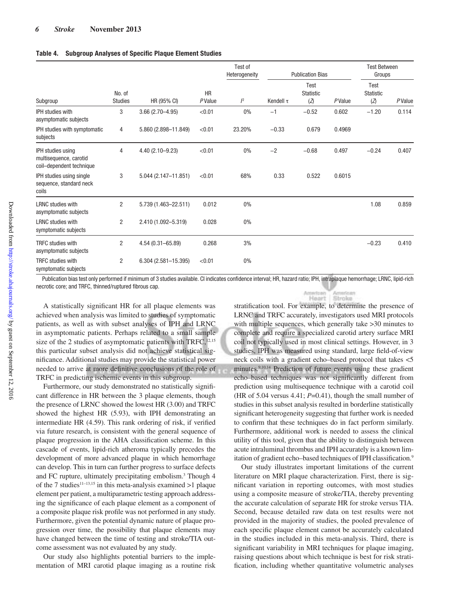| Table 4. | <b>Subgroup Analyses of Specific Plaque Element Studies</b> |  |  |  |
|----------|-------------------------------------------------------------|--|--|--|
|          |                                                             |  |  |  |

|                                                                         |                          |                         |                     | Test of<br>Heterogeneity |                | <b>Publication Bias</b>  |        | <b>Test Between</b><br>Groups   |        |
|-------------------------------------------------------------------------|--------------------------|-------------------------|---------------------|--------------------------|----------------|--------------------------|--------|---------------------------------|--------|
| Subgroup                                                                | No. of<br><b>Studies</b> | HR (95% CI)             | <b>HR</b><br>PValue | $I^2$                    | Kendell $\tau$ | Test<br>Statistic<br>(Z) | PValue | Test<br><b>Statistic</b><br>(Z) | PValue |
| IPH studies with<br>asymptomatic subjects                               | 3                        | $3.66(2.70 - 4.95)$     | < 0.01              | 0%                       | $-1$           | $-0.52$                  | 0.602  | $-1.20$                         | 0.114  |
| IPH studies with symptomatic<br>subjects                                | 4                        | 5.860 (2.898-11.849)    | < 0.01              | 23.20%                   | $-0.33$        | 0.679                    | 0.4969 |                                 |        |
| IPH studies using<br>multisequence, carotid<br>coil-dependent technique | 4                        | $4.40(2.10 - 9.23)$     | < 0.01              | $0\%$                    | $-2$           | $-0.68$                  | 0.497  | $-0.24$                         | 0.407  |
| IPH studies using single<br>sequence, standard neck<br>coils            | 3                        | $5.044(2.147 - 11.851)$ | < 0.01              | 68%                      | 0.33           | 0.522                    | 0.6015 |                                 |        |
| <b>LRNC</b> studies with<br>asymptomatic subjects                       | $\overline{2}$           | 5.739 (1.463-22.511)    | 0.012               | $0\%$                    |                |                          |        | 1.08                            | 0.859  |
| <b>LRNC</b> studies with<br>symptomatic subjects                        | $\overline{2}$           | 2.410 (1.092-5.319)     | 0.028               | $0\%$                    |                |                          |        |                                 |        |
| <b>TRFC</b> studies with<br>asymptomatic subjects                       | $\overline{2}$           | $4.54(0.31 - 65.89)$    | 0.268               | 3%                       |                |                          |        | $-0.23$                         | 0.410  |
| <b>TRFC</b> studies with<br>symptomatic subjects                        | $\overline{2}$           | $6.304(2.581 - 15.395)$ | < 0.01              | $0\%$                    |                |                          |        |                                 |        |

Publication bias test only performed if minimum of 3 studies available. CI indicates confidence interval; HR, hazard ratio; IPH, intraplaque hemorrhage; LRNC, lipid-rich necrotic core; and TRFC, thinned/ruptured fibrous cap.

A statistically significant HR for all plaque elements was achieved when analysis was limited to studies of symptomatic patients, as well as with subset analyses of IPH and LRNC in asymptomatic patients. Perhaps related to a small sample size of the 2 studies of asymptomatic patients with TRFC, $12,15$ this particular subset analysis did not achieve statistical significance. Additional studies may provide the statistical power needed to arrive at more definitive conclusions of the role of TRFC in predicting ischemic events in this subgroup.

Furthermore, our study demonstrated no statistically significant difference in HR between the 3 plaque elements, though the presence of LRNC showed the lowest HR (3.00) and TRFC showed the highest HR (5.93), with IPH demonstrating an intermediate HR (4.59). This rank ordering of risk, if verified via future research, is consistent with the general sequence of plaque progression in the AHA classification scheme. In this cascade of events, lipid-rich atheroma typically precedes the development of more advanced plaque in which hemorrhage can develop. This in turn can further progress to surface defects and FC rupture, ultimately precipitating embolism.<sup>3</sup> Though 4 of the 7 studies<sup>11–13,15</sup> in this meta-analysis examined  $>1$  plaque element per patient, a multiparametric testing approach addressing the significance of each plaque element as a component of a composite plaque risk profile was not performed in any study. Furthermore, given the potential dynamic nature of plaque progression over time, the possibility that plaque elements may have changed between the time of testing and stroke/TIA outcome assessment was not evaluated by any study.

Our study also highlights potential barriers to the implementation of MRI carotid plaque imaging as a routine risk

American American<br>Heart Stroke stratification tool. For example, to determine the presence of LRNC and TRFC accurately, investigators used MRI protocols with multiple sequences, which generally take  $>30$  minutes to complete and require a specialized carotid artery surface MRI coil not typically used in most clinical settings. However, in 3 studies, IPH was measured using standard, large field-of-view neck coils with a gradient echo–based protocol that takes <5 minutes.9,10,14 Prediction of future events using these gradient echo–based techniques was not significantly different from prediction using multisequence technique with a carotid coil (HR of 5.04 versus 4.41; *P*=0.41), though the small number of studies in this subset analysis resulted in borderline statistically significant heterogeneity suggesting that further work is needed to confirm that these techniques do in fact perform similarly. Furthermore, additional work is needed to assess the clinical utility of this tool, given that the ability to distinguish between acute intraluminal thrombus and IPH accurately is a known limitation of gradient echo–based techniques of IPH classification.9

Our study illustrates important limitations of the current literature on MRI plaque characterization. First, there is significant variation in reporting outcomes, with most studies using a composite measure of stroke/TIA, thereby preventing the accurate calculation of separate HR for stroke versus TIA. Second, because detailed raw data on test results were not provided in the majority of studies, the pooled prevalence of each specific plaque element cannot be accurately calculated in the studies included in this meta-analysis. Third, there is significant variability in MRI techniques for plaque imaging, raising questions about which technique is best for risk stratification, including whether quantitative volumetric analyses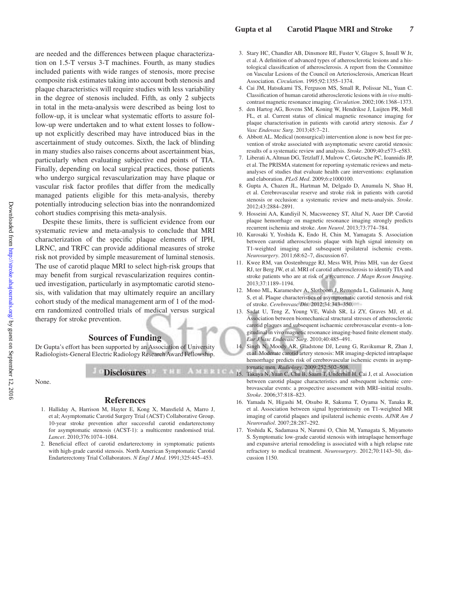are needed and the differences between plaque characterization on 1.5-T versus 3-T machines. Fourth, as many studies included patients with wide ranges of stenosis, more precise composite risk estimates taking into account both stenosis and plaque characteristics will require studies with less variability in the degree of stenosis included. Fifth, as only 2 subjects in total in the meta-analysis were described as being lost to follow-up, it is unclear what systematic efforts to assure follow-up were undertaken and to what extent losses to followup not explicitly described may have introduced bias in the ascertainment of study outcomes. Sixth, the lack of blinding in many studies also raises concerns about ascertainment bias, particularly when evaluating subjective end points of TIA.

Finally, depending on local surgical practices, those patients who undergo surgical revascularization may have plaque or vascular risk factor profiles that differ from the medically managed patients eligible for this meta-analysis, thereby potentially introducing selection bias into the nonrandomized cohort studies comprising this meta-analysis.

Despite these limits, there is sufficient evidence from our systematic review and meta-analysis to conclude that MRI characterization of the specific plaque elements of IPH, LRNC, and TRFC can provide additional measures of stroke risk not provided by simple measurement of luminal stenosis. The use of carotid plaque MRI to select high-risk groups that may benefit from surgical revascularization requires continued investigation, particularly in asymptomatic carotid stenosis, with validation that may ultimately require an ancillary cohort study of the medical management arm of 1 of the modern randomized controlled trials of medical versus surgical therapy for stroke prevention.

## **Sources of Funding**

Dr Gupta's effort has been supported by an Association of University Radiologists-General Electric Radiology Research Award Fellowship.

**Disclosures** F THE AMERICA

None.

#### **References**

- 1. Halliday A, Harrison M, Hayter E, Kong X, Mansfield A, Marro J, et al; Asymptomatic Carotid Surgery Trial (ACST) Collaborative Group. 10-year stroke prevention after successful carotid endarterectomy for asymptomatic stenosis (ACST-1): a multicentre randomised trial. *Lancet*. 2010;376:1074–1084.
- 2. Beneficial effect of carotid endarterectomy in symptomatic patients with high-grade carotid stenosis. North American Symptomatic Carotid Endarterectomy Trial Collaborators. *N Engl J Med*. 1991;325:445–453.
- 3. Stary HC, Chandler AB, Dinsmore RE, Fuster V, Glagov S, Insull W Jr, et al. A definition of advanced types of atherosclerotic lesions and a histological classification of atherosclerosis. A report from the Committee on Vascular Lesions of the Council on Arteriosclerosis, American Heart Association. *Circulation*. 1995;92:1355–1374.
- 4. Cai JM, Hatsukami TS, Ferguson MS, Small R, Polissar NL, Yuan C. Classification of human carotid atherosclerotic lesions with *in vivo* multicontrast magnetic resonance imaging. *Circulation*. 2002;106:1368–1373.
- 5. den Hartog AG, Bovens SM, Koning W, Hendrikse J, Luijten PR, Moll FL, et al. Current status of clinical magnetic resonance imaging for plaque characterisation in patients with carotid artery stenosis. *Eur J Vasc Endovasc Surg*. 2013;45:7–21.
- 6. Abbott AL. Medical (nonsurgical) intervention alone is now best for prevention of stroke associated with asymptomatic severe carotid stenosis: results of a systematic review and analysis. *Stroke*. 2009;40:e573–e583.
- 7. Liberati A, Altman DG, Tetzlaff J, Mulrow C, Gøtzsche PC, Ioannidis JP, et al. The PRISMA statement for reporting systematic reviews and metaanalyses of studies that evaluate health care interventions: explanation and elaboration. *PLoS Med*. 2009;6:e1000100.
- 8. Gupta A, Chazen JL, Hartman M, Delgado D, Anumula N, Shao H, et al. Cerebrovascular reserve and stroke risk in patients with carotid stenosis or occlusion: a systematic review and meta-analysis. *Stroke*. 2012;43:2884–2891.
- 9. Hosseini AA, Kandiyil N, Macsweeney ST, Altaf N, Auer DP. Carotid plaque hemorrhage on magnetic resonance imaging strongly predicts recurrent ischemia and stroke. *Ann Neurol*. 2013;73:774–784.
- 10. Kurosaki Y, Yoshida K, Endo H, Chin M, Yamagata S. Association between carotid atherosclerosis plaque with high signal intensity on T1-weighted imaging and subsequent ipsilateral ischemic events. *Neurosurgery*. 2011;68:62–7, discussion 67.
- 11. Kwee RM, van Oostenbrugge RJ, Mess WH, Prins MH, van der Geest RJ, ter Berg JW, et al. MRI of carotid atherosclerosis to identify TIA and stroke patients who are at risk of a recurrence. *J Magn Reson Imaging*. 2013;37:1189–1194.
- 12. Mono ML, Karameshev A, Slotboom J, Remonda L, Galimanis A, Jung S, et al. Plaque characteristics of asymptomatic carotid stenosis and risk of stroke. *Cerebrovasc Dis*. 2012;34:343–350.
- 13. Sadat U, Teng Z, Young VE, Walsh SR, Li ZY, Graves MJ, et al. Association between biomechanical structural stresses of atherosclerotic carotid plaques and subsequent ischaemic cerebrovascular events–a longitudinal in vivo magnetic resonance imaging-based finite element study. *Eur J Vasc Endovasc Surg*. 2010;40:485–491.
- 14. Singh N, Moody AR, Gladstone DJ, Leung G, Ravikumar R, Zhan J, et al. Moderate carotid artery stenosis: MR imaging-depicted intraplaque hemorrhage predicts risk of cerebrovascular ischemic events in asymptomatic men. *Radiology*. 2009;252:502–508.
- 15. Takaya N, Yuan C, Chu B, Saam T, Underhill H, Cai J, et al. Association between carotid plaque characteristics and subsequent ischemic cerebrovascular events: a prospective assessment with MRI–initial results. *Stroke*. 2006;37:818–823.
- 16. Yamada N, Higashi M, Otsubo R, Sakuma T, Oyama N, Tanaka R, et al. Association between signal hyperintensity on T1-weighted MR imaging of carotid plaques and ipsilateral ischemic events. *AJNR Am J Neuroradiol*. 2007;28:287–292.
- 17. Yoshida K, Sadamasa N, Narumi O, Chin M, Yamagata S, Miyamoto S. Symptomatic low-grade carotid stenosis with intraplaque hemorrhage and expansive arterial remodeling is associated with a high relapse rate refractory to medical treatment. *Neurosurgery*. 2012;70:1143–50, discussion 1150.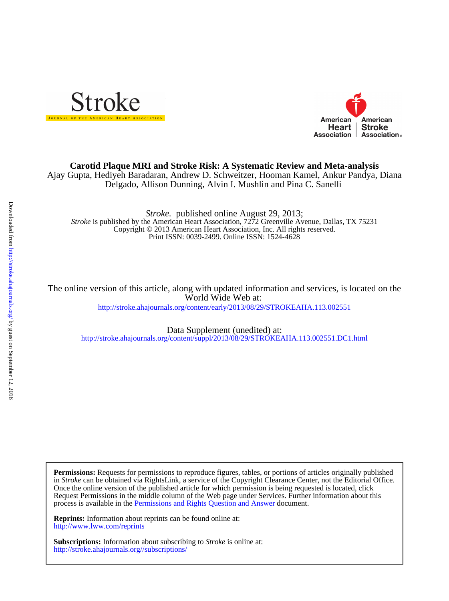



# **Carotid Plaque MRI and Stroke Risk: A Systematic Review and Meta-analysis**

Delgado, Allison Dunning, Alvin I. Mushlin and Pina C. Sanelli Ajay Gupta, Hediyeh Baradaran, Andrew D. Schweitzer, Hooman Kamel, Ankur Pandya, Diana

Print ISSN: 0039-2499. Online ISSN: 1524-4628 Copyright © 2013 American Heart Association, Inc. All rights reserved. *Stroke* is published by the American Heart Association, 7272 Greenville Avenue, Dallas, TX 75231 *Stroke.* published online August 29, 2013;

<http://stroke.ahajournals.org/content/early/2013/08/29/STROKEAHA.113.002551> World Wide Web at: The online version of this article, along with updated information and services, is located on the

Data Supplement (unedited) at:

<http://stroke.ahajournals.org/content/suppl/2013/08/29/STROKEAHA.113.002551.DC1.html>

process is available in the [Permissions and Rights Question and Answer d](http://www.ahajournals.org/site/rights/)ocument. Request Permissions in the middle column of the Web page under Services. Further information about this Once the online version of the published article for which permission is being requested is located, click in *Stroke* can be obtained via RightsLink, a service of the Copyright Clearance Center, not the Editorial Office. **Permissions:** Requests for permissions to reproduce figures, tables, or portions of articles originally published

<http://www.lww.com/reprints> **Reprints:** Information about reprints can be found online at:

<http://stroke.ahajournals.org//subscriptions/> **Subscriptions:** Information about subscribing to *Stroke* is online at: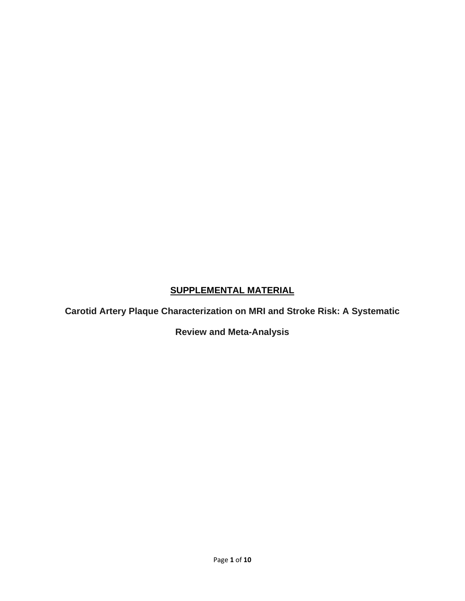# **SUPPLEMENTAL MATERIAL**

**Carotid Artery Plaque Characterization on MRI and Stroke Risk: A Systematic** 

**Review and Meta-Analysis**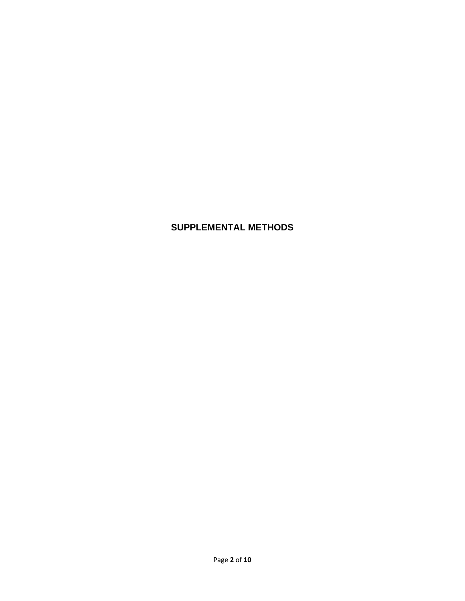# **SUPPLEMENTAL METHODS**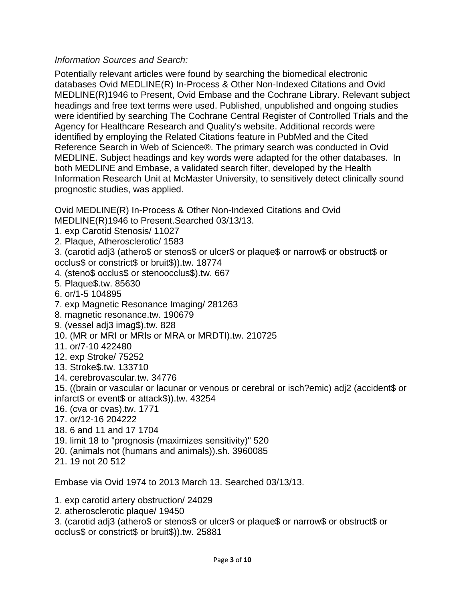# *Information Sources and Search:*

Potentially relevant articles were found by searching the biomedical electronic databases Ovid MEDLINE(R) In-Process & Other Non-Indexed Citations and Ovid MEDLINE(R)1946 to Present, Ovid Embase and the Cochrane Library. Relevant subject headings and free text terms were used. Published, unpublished and ongoing studies were identified by searching The Cochrane Central Register of Controlled Trials and the Agency for Healthcare Research and Quality's website. Additional records were identified by employing the Related Citations feature in PubMed and the Cited Reference Search in Web of Science®. The primary search was conducted in Ovid MEDLINE. Subject headings and key words were adapted for the other databases. In both MEDLINE and Embase, a validated search filter, developed by the Health Information Research Unit at McMaster University, to sensitively detect clinically sound prognostic studies, was applied.

Ovid MEDLINE(R) In-Process & Other Non-Indexed Citations and Ovid MEDLINE(R)1946 to Present.Searched 03/13/13.

1. exp Carotid Stenosis/ 11027

2. Plaque, Atherosclerotic/ 1583

3. (carotid adj3 (athero\$ or stenos\$ or ulcer\$ or plaque\$ or narrow\$ or obstruct\$ or occlus\$ or constrict\$ or bruit\$)).tw. 18774

- 4. (steno\$ occlus\$ or stenoocclus\$).tw. 667
- 5. Plaque\$.tw. 85630
- 6. or/1-5 104895
- 7. exp Magnetic Resonance Imaging/ 281263
- 8. magnetic resonance.tw. 190679
- 9. (vessel adj3 imag\$).tw. 828
- 10. (MR or MRI or MRIs or MRA or MRDTI).tw. 210725
- 11. or/7-10 422480
- 12. exp Stroke/ 75252
- 13. Stroke\$.tw. 133710
- 14. cerebrovascular.tw. 34776

15. ((brain or vascular or lacunar or venous or cerebral or isch?emic) adj2 (accident\$ or infarct\$ or event\$ or attack\$)).tw. 43254

- 16. (cva or cvas).tw. 1771
- 17. or/12-16 204222
- 18. 6 and 11 and 17 1704
- 19. limit 18 to "prognosis (maximizes sensitivity)" 520
- 20. (animals not (humans and animals)).sh. 3960085
- 21. 19 not 20 512

Embase via Ovid 1974 to 2013 March 13. Searched 03/13/13.

- 1. exp carotid artery obstruction/ 24029
- 2. atherosclerotic plaque/ 19450

3. (carotid adj3 (athero\$ or stenos\$ or ulcer\$ or plaque\$ or narrow\$ or obstruct\$ or occlus\$ or constrict\$ or bruit\$)).tw. 25881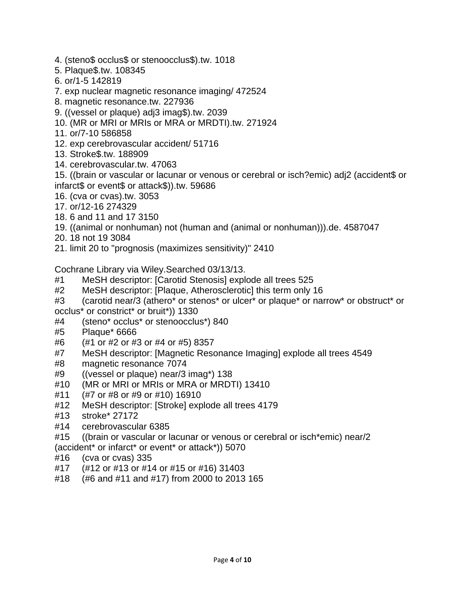- 4. (steno\$ occlus\$ or stenoocclus\$).tw. 1018
- 5. Plaque\$.tw. 108345
- 6. or/1-5 142819
- 7. exp nuclear magnetic resonance imaging/ 472524
- 8. magnetic resonance.tw. 227936
- 9. ((vessel or plaque) adj3 imag\$).tw. 2039
- 10. (MR or MRI or MRIs or MRA or MRDTI).tw. 271924
- 11. or/7-10 586858
- 12. exp cerebrovascular accident/ 51716
- 13. Stroke\$.tw. 188909
- 14. cerebrovascular.tw. 47063
- 15. ((brain or vascular or lacunar or venous or cerebral or isch?emic) adj2 (accident\$ or infarct\$ or event\$ or attack\$)).tw. 59686
- 16. (cva or cvas).tw. 3053
- 17. or/12-16 274329
- 18. 6 and 11 and 17 3150
- 19. ((animal or nonhuman) not (human and (animal or nonhuman))).de. 4587047
- 20. 18 not 19 3084
- 21. limit 20 to "prognosis (maximizes sensitivity)" 2410

Cochrane Library via Wiley.Searched 03/13/13.

- #1 MeSH descriptor: [Carotid Stenosis] explode all trees 525
- #2 MeSH descriptor: [Plaque, Atherosclerotic] this term only 16
- #3 (carotid near/3 (athero\* or stenos\* or ulcer\* or plaque\* or narrow\* or obstruct\* or occlus\* or constrict\* or bruit\*)) 1330
- #4 (steno\* occlus\* or stenoocclus\*) 840
- #5 Plaque\* 6666
- #6 (#1 or #2 or #3 or #4 or #5) 8357
- #7 MeSH descriptor: [Magnetic Resonance Imaging] explode all trees 4549
- #8 magnetic resonance 7074
- #9 ((vessel or plaque) near/3 imag\*) 138
- #10 (MR or MRI or MRIs or MRA or MRDTI) 13410
- #11 (#7 or #8 or #9 or #10) 16910
- #12 MeSH descriptor: [Stroke] explode all trees 4179
- #13 stroke\* 27172
- #14 cerebrovascular 6385
- #15 ((brain or vascular or lacunar or venous or cerebral or isch\*emic) near/2 (accident\* or infarct\* or event\* or attack\*)) 5070
- #16 (cva or cvas) 335
- #17 (#12 or #13 or #14 or #15 or #16) 31403
- #18 (#6 and #11 and #17) from 2000 to 2013 165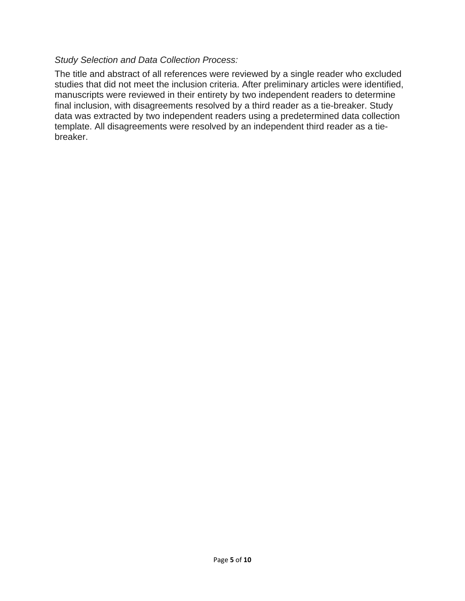# *Study Selection and Data Collection Process:*

The title and abstract of all references were reviewed by a single reader who excluded studies that did not meet the inclusion criteria. After preliminary articles were identified, manuscripts were reviewed in their entirety by two independent readers to determine final inclusion, with disagreements resolved by a third reader as a tie-breaker. Study data was extracted by two independent readers using a predetermined data collection template. All disagreements were resolved by an independent third reader as a tiebreaker.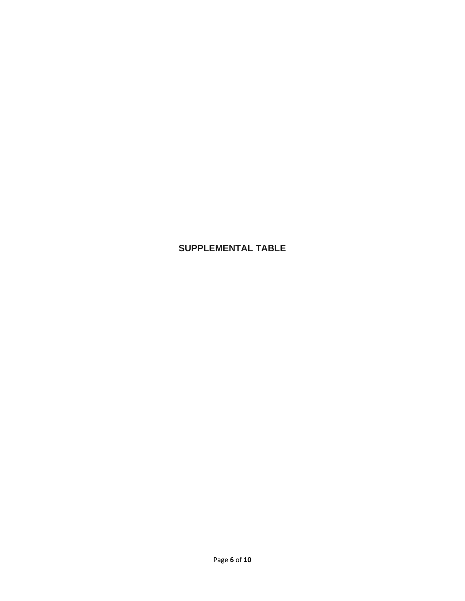# **SUPPLEMENTAL TABLE**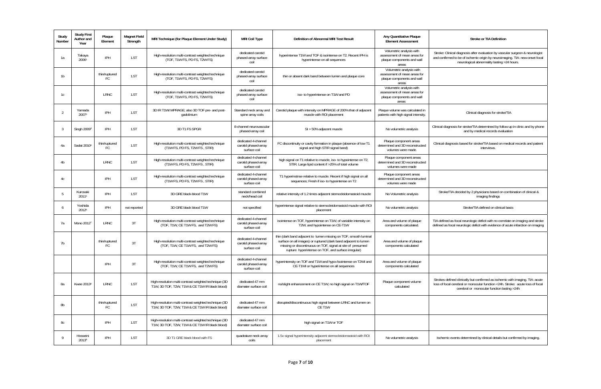| <b>Stroke or TIA Definition</b>                                                                                                                                                                                |  |  |  |  |  |  |
|----------------------------------------------------------------------------------------------------------------------------------------------------------------------------------------------------------------|--|--|--|--|--|--|
| Stroke: Clinical diagnosis after evaluation by vascular surgeon & neurologist<br>and confirmed to be of ischemic origin by neuroimaging. TIA: new-onset focal<br>neurological abnormality lasting >24 hours.   |  |  |  |  |  |  |
|                                                                                                                                                                                                                |  |  |  |  |  |  |
|                                                                                                                                                                                                                |  |  |  |  |  |  |
| Clinical diagnosis for stroke/TIA                                                                                                                                                                              |  |  |  |  |  |  |
| Clinical diagnosis for stroke/TIA determined by follow up in clinic and by phone<br>and by medical records evaluation                                                                                          |  |  |  |  |  |  |
| Clinical diagnosis based for stroke/TIA based on medical records and patient<br>interviews.                                                                                                                    |  |  |  |  |  |  |
|                                                                                                                                                                                                                |  |  |  |  |  |  |
|                                                                                                                                                                                                                |  |  |  |  |  |  |
| Stroke/TIA decided by 2 physicians based on combination of clinical &<br>imaging findings                                                                                                                      |  |  |  |  |  |  |
| Stroke/TIA defined on clinical basis                                                                                                                                                                           |  |  |  |  |  |  |
| TIA defined as focal neurologic deficit with no correlate on imaging and stroke<br>defined as focal neurologic deficit with evidence of acute infarction on imaging                                            |  |  |  |  |  |  |
|                                                                                                                                                                                                                |  |  |  |  |  |  |
|                                                                                                                                                                                                                |  |  |  |  |  |  |
| Strokes defined clinically but confirmed as ischemic with imaging. TIA: acute<br>loss of focal cerebral or monocular function <24h. Stroke: acute loss of focal<br>cerebral or monocular function lasting >24h |  |  |  |  |  |  |
|                                                                                                                                                                                                                |  |  |  |  |  |  |
|                                                                                                                                                                                                                |  |  |  |  |  |  |
| Ischemic events determined by clinical details but confirmed by imaging.                                                                                                                                       |  |  |  |  |  |  |

| Study<br>Number | <b>Study First</b><br>Author and<br>Year | Plaque<br>Element   | <b>Magnet Field</b><br>Strength | MRI Technique (for Plaque Element Under Study)                                                           | <b>MRI Coil Type</b>                                        | Definition of Abnormal MRI Test Result                                                                                                                                                                                                                    | Any Quantitative Plaque<br>Element Assessment                                                   | <b>Stroke or TIA Definition</b>                                                                                                                                                                                |
|-----------------|------------------------------------------|---------------------|---------------------------------|----------------------------------------------------------------------------------------------------------|-------------------------------------------------------------|-----------------------------------------------------------------------------------------------------------------------------------------------------------------------------------------------------------------------------------------------------------|-------------------------------------------------------------------------------------------------|----------------------------------------------------------------------------------------------------------------------------------------------------------------------------------------------------------------|
| 1a              | Takaya<br>20061                          | <b>IPH</b>          | 1.5T                            | High-resolution multi-contrast weighted technique<br>(TOF, T1W FS, PD FS, T2W FS)                        | dedicated carotid<br>phased-array surface<br>coil           | hyperintense T1W and TOF & isointense on T2. Recent IPH is<br>hyperintense on all sequences                                                                                                                                                               | Volumetric analysis with<br>assessment of mean areas for<br>plaque components and wall<br>areas | Stroke: Clinical diagnosis after evaluation by vascular surgeon & neurologist<br>and confirmed to be of ischemic origin by neuroimaging. TIA: new-onset focal<br>neurological abnormality lasting >24 hours.   |
| 1 <sub>b</sub>  |                                          | thin/ruptured<br>FC | 1.5T                            | High-resolution multi-contrast weighted technique<br>(TOF, T1W FS, PD FS, T2W FS)                        | dedicated carotid<br>phased-array surface<br>coil           | thin or absent dark band between lumen and plaque core                                                                                                                                                                                                    | Volumetric analysis with<br>assessment of mean areas for<br>plaque components and wall<br>areas |                                                                                                                                                                                                                |
| 1c              |                                          | LRNC                | 1.5T                            | High-resolution multi-contrast weighted technique<br>(TOF, T1W FS, PD FS, T2W FS)                        | dedicated carotid<br>phased-array surface<br>coil           | iso- to hyperintense on T1W and PD                                                                                                                                                                                                                        | Volumetric analysis with<br>assessment of mean areas for<br>plaque components and wall<br>areas |                                                                                                                                                                                                                |
| $\overline{2}$  | Yamada<br>20072                          | <b>IPH</b>          | 1.5T                            | 3D IR T1WI MPRAGE; also 3D TOF pre- and post-<br>qadolinium                                              | Standard neck array and<br>spine array coils                | Carotid plaque with intensity on MPRAGE of 200% that of adjacent<br>muscle with ROI placement                                                                                                                                                             | Plaque volume was calculated in<br>patients with high signal intensity.                         | Clinical diagnosis for stroke/TIA                                                                                                                                                                              |
| -3              | Singh 2009 <sup>3</sup>                  | <b>IPH</b>          | <b>1.5T</b>                     | 3D T1 FS SPGR                                                                                            | 8-channel neurovascular<br>phased-array coil                | SI > 50% adjacent muscle                                                                                                                                                                                                                                  | No volumetric analysis                                                                          | Clinical diagnosis for stroke/TIA determined by follow up in clinic and by phone<br>and by medical records evaluation                                                                                          |
| 4a              | Sadat 2010                               | thin/ruptured<br>FC | 1.5T                            | High-resolution multi-contrast weighted technique<br>(T1W FS, PD FS, T2W FS, STIR)                       | dedicated 4-channel<br>carotid phased-array<br>surface coil | FC discontinuity or cavity formation in plaque (absence of low T1<br>signal and high STIR signal band)                                                                                                                                                    | Plaque component areas<br>determined and 3D reconstructed<br>volumes were made.                 | Clinical diagnosis based for stroke/TIA based on medical records and patient<br>interviews.                                                                                                                    |
| 4 <sub>b</sub>  |                                          | LRNC                | 1.5T                            | High-resolution multi-contrast weighted technique<br>(T1W FS, PD FS, T2W FS, STIR)                       | dedicated 4-channel<br>carotid phased-array<br>surface coil | high signal on T1 relative to muscle, iso- to hypointense on T2,<br>STIR. Large lipid content if >25% of total volume                                                                                                                                     | Plaque component areas<br>determined and 3D reconstructed<br>volumes were made                  |                                                                                                                                                                                                                |
| 4c              |                                          | <b>IPH</b>          | 1.5T                            | High-resolution multi-contrast weighted technique<br>(T1W FS, PD FS, T2W FS, STIR)                       | dedicated 4-channel<br>carotid phased-array<br>surface coil | T1 hyperinstnse relative to muscle. Recent if high signal on all<br>sequences; Fresh if iso- to hypointense on T2                                                                                                                                         | Plaque component areas<br>determined and 3D reconstructed<br>volumes were made                  |                                                                                                                                                                                                                |
| -5              | Kurosaki<br>20115                        | <b>IPH</b>          | 1.5T                            | 3D GRE black-blood T1W                                                                                   | standard combined<br>neck/head coil                         | relative intensity of 1.2 times adjacent sternocleidomastoid muscle                                                                                                                                                                                       | No Volumetric analysis                                                                          | Stroke/TIA decided by 2 physicians based on combination of clinical &<br>imaging findings                                                                                                                      |
| 6               | Yoshida<br>2012 <sup>6</sup>             | <b>IPH</b>          | not reported                    | 3D GRE black blood T1W                                                                                   | not specified                                               | hyperintense signal relative to sternocleidomastoid muscle with ROI<br>placement                                                                                                                                                                          | No volumetric analysis                                                                          | Stroke/TIA defined on clinical basis                                                                                                                                                                           |
| 7a              | Mono 20127                               | LRNC                | 3T                              | High-resolution multi-contrast weighted technique<br>(TOF, T1W, CE T1W FS, and T2W FS)                   | dedicated 4-channel<br>carotid phased-array<br>surface coil | isointense on TOF, hyperintense on T1W, of variable intensity on<br>T2W, and hypointense on CE-T1W                                                                                                                                                        | Area and volume of plaque<br>components calculated.                                             | TIA defined as focal neurologic deficit with no correlate on imaging and stroke<br>defined as focal neurologic deficit with evidence of acute infarction on imaging                                            |
| 7b              |                                          | thin/ruptured<br>FC | 3T                              | High-resolution multi-contrast weighted technique<br>(TOF, T1W, CE T1W FS, and T2W FS)                   | dedicated 4-channel<br>carotid phased-array<br>surface coil | thin (dark band adjacent to lumen missing on TOF, smooth luminal<br>surface on all images) or ruptured (dark band adjacent to lumen<br>missing or discontinuous on TOF, signal at site of presumed<br>rupture hyperintense on TOF, and surface irregular) | Area and volume of plaque<br>components calculated                                              |                                                                                                                                                                                                                |
|                 |                                          | IPH                 | 3T                              | High-resolution multi-contrast weighted technique<br>(TOF, T1W, CE T1W FS, and T2W FS)                   | dedicated 4-channel<br>carotid phased-array<br>surface coil | hyperintensity on TOF and T1W and hypo-/isointense on T2WI and<br>CE-T1WI or hyperintense on all sequences                                                                                                                                                | Area and volume of plaque<br>components calculated                                              |                                                                                                                                                                                                                |
| 8a              | Kwee 2013 <sup>8</sup>                   | LRNC                | 1.5T                            | High-resolution multi-contrast weighted technique (3D<br>T1W, 3D TOF, T2W, T1W & CE T1W IR black blood)  | dedicated 47 mm<br>diamater surface coil                    | no/slight enhancement on CE T1W, no high signal on T1W/TOF                                                                                                                                                                                                | Plaque component volume<br>calculated                                                           | Strokes defined clinically but confirmed as ischemic with imaging. TIA: acute<br>loss of focal cerebral or monocular function <24h. Stroke: acute loss of focal<br>cerebral or monocular function lasting >24h |
| 8b              |                                          | thin/ruptured<br>FC | 1.5T                            | High-resolution multi-contrast weighted technique (3D<br>T1W, 3D TOF, T2W, T1W & CE T1W IR black blood)  | dedicated 47 mm<br>diamater surface coil                    | disrupted/discontinuous high signal between LRNC and lumen on<br>CE T1W                                                                                                                                                                                   |                                                                                                 |                                                                                                                                                                                                                |
| 8c              |                                          | <b>IPH</b>          | 1.5T                            | High-resolution multi-contrast weighted technique (3D)<br>T1W, 3D TOF, T2W, T1W & CE T1W IR black blood) | dedicated 47 mm<br>diamater surface coil                    | high signal on T1W or TOF                                                                                                                                                                                                                                 |                                                                                                 |                                                                                                                                                                                                                |
| $\mathbf Q$     | Hosseini<br>20139                        | IPH                 | 1.5T                            | 3D T1 GRE black blood with FS                                                                            | quadrature neck array<br>coils                              | 1.5x signal hyperintensity adjacent sternocleidomastoid with ROI<br>placement                                                                                                                                                                             | No volumetric analysis                                                                          | Ischemic events determined by clinical details but confirmed by imaging.                                                                                                                                       |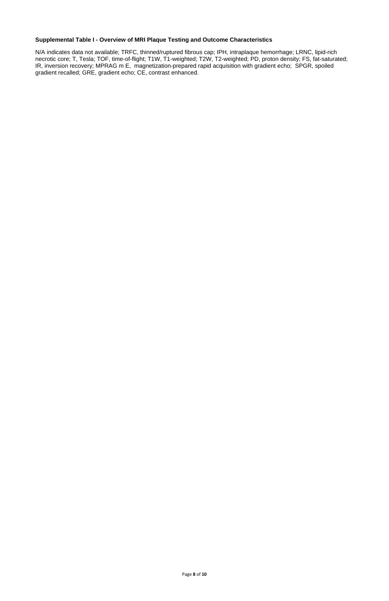Page **8** of **10**

# **Supplemental Table I - Overview of MRI Plaque Testing and Outcome Characteristics**

N/A indicates data not available; TRFC, thinned/ruptured fibrous cap; IPH, intraplaque hemorrhage; LRNC, lipid-rich necrotic core; T, Tesla; TOF, time-of-flight; T1W, T1-weighted; T2W, T2-weighted; PD, proton density; FS, fat-saturated; IR, inversion recovery; MPRAG m E, magnetization-prepared rapid acquisition with gradient echo; SPGR, spoiled gradient recalled; GRE, gradient echo; CE, contrast enhanced.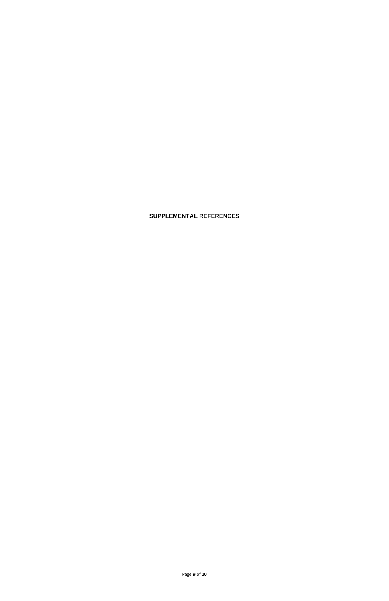Page **9** of **10**

**SUPPLEMENTAL REFERENCES**